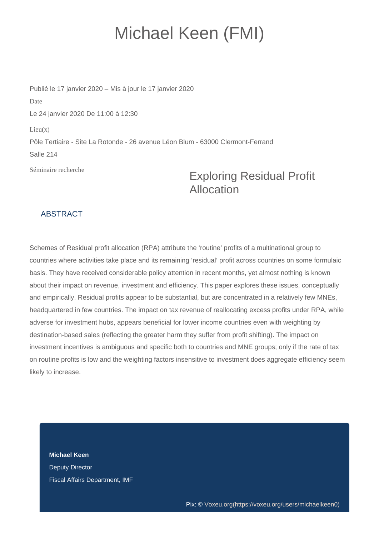## Michael Keen (FMI)

Publié le 17 janvier 2020 – Mis à jour le 17 janvier 2020 Date Le 24 janvier 2020 De 11:00 à 12:30  $Lieu(x)$ Pôle Tertiaire - Site La Rotonde - 26 avenue Léon Blum - 63000 Clermont-Ferrand Salle 214

Séminaire recherche

## Exploring Residual Profit Allocation

## **ABSTRACT**

Schemes of Residual profit allocation (RPA) attribute the 'routine' profits of a multinational group to countries where activities take place and its remaining 'residual' profit across countries on some formulaic basis. They have received considerable policy attention in recent months, yet almost nothing is known about their impact on revenue, investment and efficiency. This paper explores these issues, conceptually and empirically. Residual profits appear to be substantial, but are concentrated in a relatively few MNEs, headquartered in few countries. The impact on tax revenue of reallocating excess profits under RPA, while adverse for investment hubs, appears beneficial for lower income countries even with weighting by destination-based sales (reflecting the greater harm they suffer from profit shifting). The impact on investment incentives is ambiguous and specific both to countries and MNE groups; only if the rate of tax on routine profits is low and the weighting factors insensitive to investment does aggregate efficiency seem likely to increase.

**Michael Keen**  Deputy Director Fiscal Affairs Department, IMF